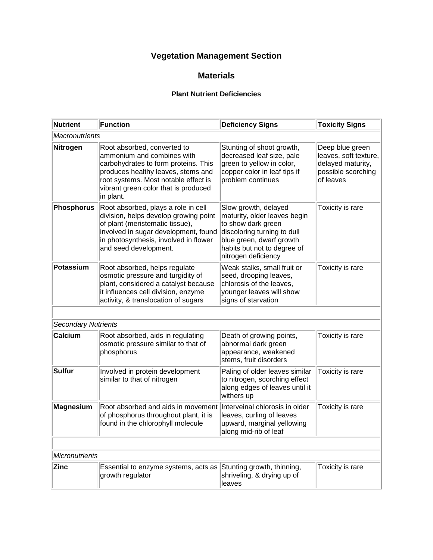## **Vegetation Management Section**

## **Materials**

## **Plant Nutrient Deficiencies**

| <b>Nutrient</b>            | Function                                                                                                                                                                                                                             | <b>Deficiency Signs</b>                                                                                                                                                                     | <b>Toxicity Signs</b>                                                                            |  |
|----------------------------|--------------------------------------------------------------------------------------------------------------------------------------------------------------------------------------------------------------------------------------|---------------------------------------------------------------------------------------------------------------------------------------------------------------------------------------------|--------------------------------------------------------------------------------------------------|--|
| Macronutrients             |                                                                                                                                                                                                                                      |                                                                                                                                                                                             |                                                                                                  |  |
| <b>Nitrogen</b>            | Root absorbed, converted to<br>ammonium and combines with<br>carbohydrates to form proteins. This<br>produces healthy leaves, stems and<br>root systems. Most notable effect is<br>vibrant green color that is produced<br>in plant. | Stunting of shoot growth,<br>decreased leaf size, pale<br>green to yellow in color,<br>copper color in leaf tips if<br>problem continues                                                    | Deep blue green<br>leaves, soft texture,<br>delayed maturity,<br>possible scorching<br>of leaves |  |
| <b>Phosphorus</b>          | Root absorbed, plays a role in cell<br>division, helps develop growing point<br>of plant (meristematic tissue),<br>involved in sugar development, found<br>in photosynthesis, involved in flower<br>and seed development.            | Slow growth, delayed<br>maturity, older leaves begin<br>to show dark green<br>discoloring turning to dull<br>blue green, dwarf growth<br>habits but not to degree of<br>nitrogen deficiency | Toxicity is rare                                                                                 |  |
| Potassium                  | Root absorbed, helps regulate<br>osmotic pressure and turgidity of<br>plant, considered a catalyst because<br>it influences cell division, enzyme<br>activity, & translocation of sugars                                             | Weak stalks, small fruit or<br>seed, drooping leaves,<br>chlorosis of the leaves,<br>younger leaves will show<br>signs of starvation                                                        | Toxicity is rare                                                                                 |  |
|                            |                                                                                                                                                                                                                                      |                                                                                                                                                                                             |                                                                                                  |  |
| <b>Secondary Nutrients</b> |                                                                                                                                                                                                                                      |                                                                                                                                                                                             |                                                                                                  |  |
| Calcium                    | Root absorbed, aids in regulating<br>osmotic pressure similar to that of<br>phosphorus                                                                                                                                               | Death of growing points,<br>abnormal dark green<br>appearance, weakened<br>stems, fruit disorders                                                                                           | Toxicity is rare                                                                                 |  |
| Sulfur                     | Involved in protein development<br>similar to that of nitrogen                                                                                                                                                                       | Paling of older leaves similar<br>to nitrogen, scorching effect<br>along edges of leaves until it<br>withers up                                                                             | Toxicity is rare                                                                                 |  |
| <b>Magnesium</b>           | Root absorbed and aids in movement<br>of phosphorus throughout plant, it is<br>found in the chlorophyll molecule                                                                                                                     | Interveinal chlorosis in older<br>leaves, curling of leaves<br>upward, marginal yellowing<br>along mid-rib of leaf                                                                          | Toxicity is rare                                                                                 |  |
|                            |                                                                                                                                                                                                                                      |                                                                                                                                                                                             |                                                                                                  |  |
| <b>Micronutrients</b>      |                                                                                                                                                                                                                                      |                                                                                                                                                                                             |                                                                                                  |  |
| <b>Zinc</b>                | Essential to enzyme systems, acts as<br>growth regulator                                                                                                                                                                             | Stunting growth, thinning,<br>shriveling, & drying up of<br>leaves                                                                                                                          | Toxicity is rare                                                                                 |  |